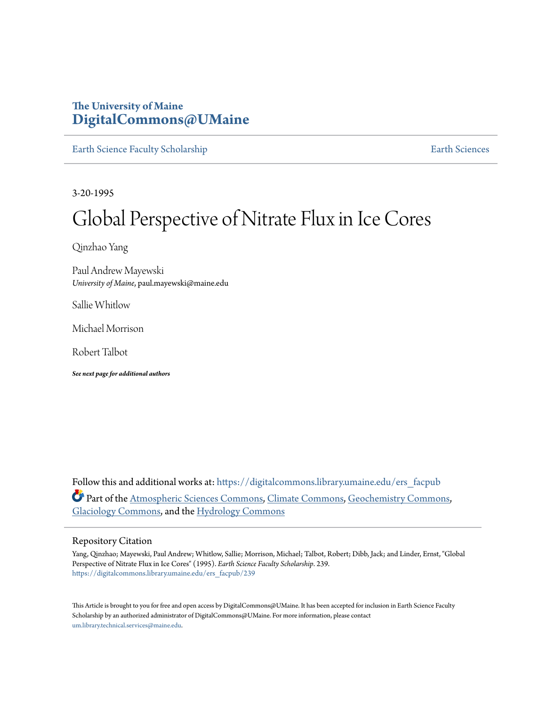# **The University of Maine [DigitalCommons@UMaine](https://digitalcommons.library.umaine.edu?utm_source=digitalcommons.library.umaine.edu%2Fers_facpub%2F239&utm_medium=PDF&utm_campaign=PDFCoverPages)**

[Earth Science Faculty Scholarship](https://digitalcommons.library.umaine.edu/ers_facpub?utm_source=digitalcommons.library.umaine.edu%2Fers_facpub%2F239&utm_medium=PDF&utm_campaign=PDFCoverPages) **[Earth Sciences](https://digitalcommons.library.umaine.edu/ers?utm_source=digitalcommons.library.umaine.edu%2Fers_facpub%2F239&utm_medium=PDF&utm_campaign=PDFCoverPages)** 

3-20-1995

# Global Perspective of Nitrate Flux in Ice Cores

Qinzhao Yang

Paul Andrew Mayewski *University of Maine*, paul.mayewski@maine.edu

Sallie Whitlow

Michael Morrison

Robert Talbot

*See next page for additional authors*

Follow this and additional works at: [https://digitalcommons.library.umaine.edu/ers\\_facpub](https://digitalcommons.library.umaine.edu/ers_facpub?utm_source=digitalcommons.library.umaine.edu%2Fers_facpub%2F239&utm_medium=PDF&utm_campaign=PDFCoverPages) Part of the [Atmospheric Sciences Commons,](http://network.bepress.com/hgg/discipline/187?utm_source=digitalcommons.library.umaine.edu%2Fers_facpub%2F239&utm_medium=PDF&utm_campaign=PDFCoverPages) [Climate Commons,](http://network.bepress.com/hgg/discipline/188?utm_source=digitalcommons.library.umaine.edu%2Fers_facpub%2F239&utm_medium=PDF&utm_campaign=PDFCoverPages) [Geochemistry Commons,](http://network.bepress.com/hgg/discipline/157?utm_source=digitalcommons.library.umaine.edu%2Fers_facpub%2F239&utm_medium=PDF&utm_campaign=PDFCoverPages) [Glaciology Commons](http://network.bepress.com/hgg/discipline/159?utm_source=digitalcommons.library.umaine.edu%2Fers_facpub%2F239&utm_medium=PDF&utm_campaign=PDFCoverPages), and the [Hydrology Commons](http://network.bepress.com/hgg/discipline/1054?utm_source=digitalcommons.library.umaine.edu%2Fers_facpub%2F239&utm_medium=PDF&utm_campaign=PDFCoverPages)

#### Repository Citation

Yang, Qinzhao; Mayewski, Paul Andrew; Whitlow, Sallie; Morrison, Michael; Talbot, Robert; Dibb, Jack; and Linder, Ernst, "Global Perspective of Nitrate Flux in Ice Cores" (1995). *Earth Science Faculty Scholarship*. 239. [https://digitalcommons.library.umaine.edu/ers\\_facpub/239](https://digitalcommons.library.umaine.edu/ers_facpub/239?utm_source=digitalcommons.library.umaine.edu%2Fers_facpub%2F239&utm_medium=PDF&utm_campaign=PDFCoverPages)

This Article is brought to you for free and open access by DigitalCommons@UMaine. It has been accepted for inclusion in Earth Science Faculty Scholarship by an authorized administrator of DigitalCommons@UMaine. For more information, please contact [um.library.technical.services@maine.edu](mailto:um.library.technical.services@maine.edu).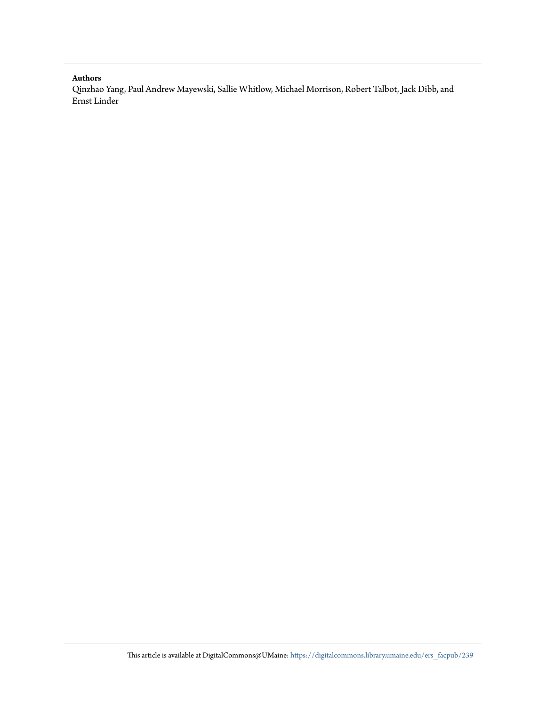#### **Authors**

Qinzhao Yang, Paul Andrew Mayewski, Sallie Whitlow, Michael Morrison, Robert Talbot, Jack Dibb, and Ernst Linder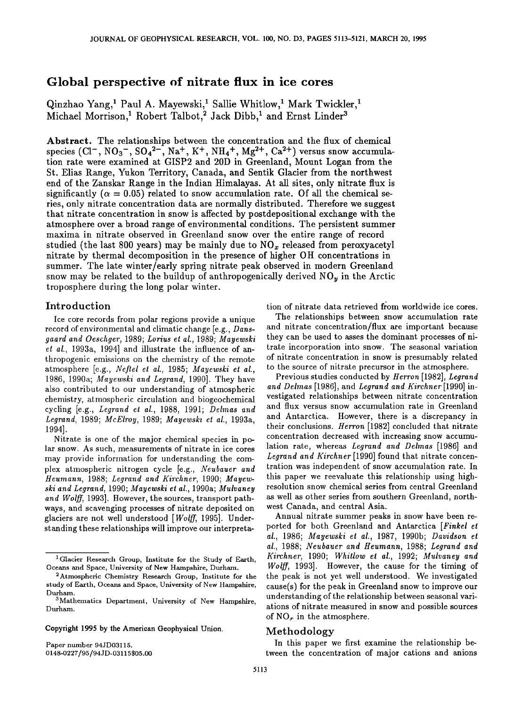# **Global perspective of nitrate flux in ice cores**

Qinzhao Yang,<sup>1</sup> Paul A. Mayewski,<sup>1</sup> Sallie Whitlow,<sup>1</sup> Mark Twickler,<sup>1</sup> Michael Morrison,<sup>1</sup> Robert Talbot,<sup>2</sup> Jack Dibb,<sup>1</sup> and Ernst Linder<sup>3</sup>

**Abstract. The relationships between the concentration and the flux of chemical**  species  $(Cl^-, NO_3^-, SO_4^{2-}, Na^+, K^+, NH_4^+, Mg^{2+}, Ca^{2+})$  versus snow accumula**tion rate were examined at GISP2 and 20D in Greenland, Mount Logan from the St. Elias Range, Yukon Territory, Canada, and Sentik Glacier from the northwest end of the Zanskar Range in the Indian Himalayas. At all sites, only nitrate flux is**  significantly ( $\alpha = 0.05$ ) related to snow accumulation rate. Of all the chemical se**ries, only nitrate concentration data are normally distributed. Therefore we suggest that nitrate concentration in snow is affected by postdepositionaJ exchange with the atmosphere over a broad range of environmental conditions. The persistent summer maxima in nitrate observed in Greenland snow over the entire range of record**  studied (the last 800 years) may be mainly due to NO<sub>x</sub> released from peroxyacetyl **nitrate by thermal decomposition in the presence of higher OH concentrations in summer. The late winter/early spring nitrate peak observed in modern Greenland**  snow may be related to the buildup of anthropogenically derived  $N O<sub>y</sub>$  in the Arctic **troposphere during the long polar winter.** 

### **Introduction**

**Ice core records from polar regions provide a unique record of environmental and climatic change [e.g., Dansgaard and Oeschger, 1989; Lorius et al., 1989; Mayewski et al., 1993a, 1994] and illustrate the influence of anthropogenic emissions on the chemistry of the remote atmosphere [e.g., Neffel et al., 1985; Maycwski et al., 1986, 1990a; Maycwski and Legrand, 1990]. They have also contributed to our understanding of atmospheric chemistry, atmospheric circulation and biogeochemical cycling [e.g., Legrand el al., 1988, 1991; Delmas and Legrand, 1989; McElroy, 1989; Mayewski et al., 1993a, 1994].** 

**Nitrate is one of the major chemical species in polar snow. As such, measurements of nitrate in ice cores may provide information for understanding the com**plex atmospheric nitrogen cycle [e.g., Neubauer and **Heumann, 1988; Legrand and Kirchner, 1990; Mayewski and Legrand, 1990; Mayewski et al., 1990a; Mulvaney and Wolff, 1993]. However, the sources, transport pathways, and scavenging processes of nitrate deposited on**  glaciers are not well understood [Wolff, 1995]. Under**standing these relationships will improve our interpreta-**

**Copyright 1995 by the American Geophysical Union.** 

**Paper number 94JD03115. 0148-0227/95/94 JD-03115505.00**  tion of nitrate data retrieved from worldwide ice cores.

**The relationships between snow accumulation rate and nitrate concentration/flux are important because they can be used to asses the dominant processes of nitrate incorporation into snow. The seasonal variation of nitrate concentration in snow is presumably related to the source of nitrate precursor in the atmosphere.** 

**Previous studies conducted by Herron [1982], Legrand and Delmas [1986], and Legrand and Kirchner [1990] investigated relationships between nitrate concentration and flux versus snow accumulation rate in Greenland and Antarctica. However, there is a discrepancy in their conclusions. Herron [1982] concluded that nitrate concentration decreased with increasing snow accumulation rate, whereas Legrand and Delmas [1986] and Legrand and Kirchner [1990] found that nitrate concentration was independent of snow accumulation rate. In this paper we reevaluate this relationship using highresolution snow chemical series from central Greenland as well as other series from southern Greenland, northwest Canada, and central Asia.** 

**Annual nitrate summer peaks in snow have been reported for both Greenland and Antarctica [Finkel et al., 1986; Mayewski et al., 1987, 1990b; Davidson et al., 1988; Neubauer and Heumann, 1988; Legrand and Kirchner, 1990; Whirlow et al., 1992; Mulvaney and Wolff, 1993]. However, the cause for the timing of the peak is not yet well understood. We investigated cause(s) for the peak in Greenland snow to improve our understanding of the relationship between seasonal variations of nitrate measured in snow and possible sources**  of  $NO<sub>r</sub>$  in the atmosphere.

## **Methodology**

**In this paper we first examine the relationship between the concentration of major cations and anions** 

**<sup>1</sup>Glacier Research Group, Institute for the Study of Earth, Oceans and Space, University of New Hampshire, Durham.** 

<sup>&</sup>lt;sup>2</sup> Atmospheric Chemistry Research Group, Institute for the **study of Earth, Oceans and Space, University of New Hampshire, Durham.** 

**<sup>3</sup>Mathematics Department, University of New Hampshire, Durham.**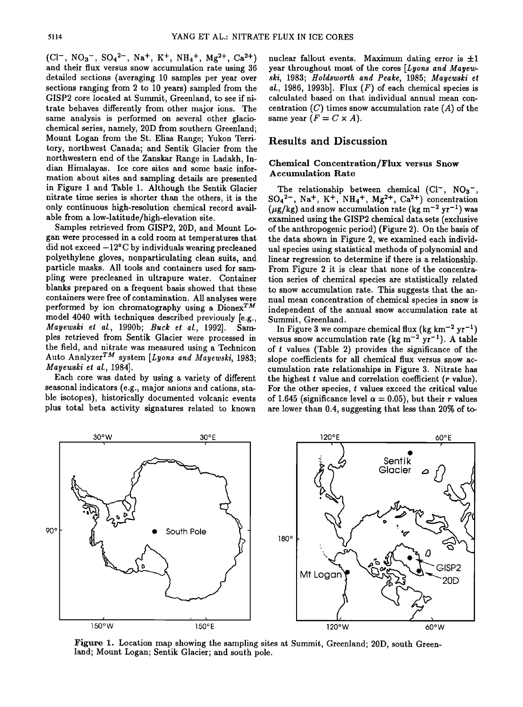$(Cl^-, NO_3^-, SO_4^{2-}, Na^+, K^+, NH_4^+, Mg^{2+}, Ca^{2+})$ **and their flux versus snow accumulation rate using 36 detailed sections (averaging 10 samples per year over sections ranging from 2 to 10 years) sampled from the**  GISP2 core located at Summit, Greenland, to see if ni**trate behaves differently from other major ions. The same analysis is performed on several other glaciochemical series, namely, 20D from southern Greenland; Mount Logan from the St. Elias Range; Yukon Territory, northwest Canada; and Sentik Glacier from the northwestern end of the Zanskar Range in Ladakh, Indian Himalayas. Ice core sites and some basic information about sites and sampling details are presented in Figure i and Table 1. Although the Sentik Glacier nitrate time series is shorter than the others, it is the only continuous high-resolution chemical record available from a low-latitude/high-elevation site.** 

**Samples retrieved from GISP2, 20D, and Mount Logan were processed in a cold room at temperatures that did not exceed -12øC by individuals wearing precleaned polyethylene gloves, nonparticulating clean suits, and particle masks. All tools and containers used for sampling were precleaned in ultrapure water. Container blanks prepared on a frequent basis showed that these containers were free of contamination. All analyses were**  performed by ion chromatography using a  $Di$ ionex<sup>TM</sup> **model 4040 with techniques described previously [e.g.,**  *Mayewski et al., 1990b; Buck et al., 1992].* **ples retrieved from Sentik Glacier were processed in the field, and nitrate was measured using a Technicon**  Auto Analyzer<sup>TM</sup> system [Lyons and Mayewski, 1983; **Mayewski et al., 1984].** 

**Each core was dated by using a variety of different seasonal indicators (e.g., major anions and cations, stable isotopes), historically documented volcanic events plus total beta activity signatures related to known**  nuclear fallout events. Maximum dating error is  $\pm 1$ **year throughout most of the cores [Lyons and Mayewski, 1983; Holdsworth and Peake, 1985; Mayewski et al., 1986, 1993b]. Flux (F) of each chemical species is calculated based on that individual annual mean con**centration  $(C)$  times snow accumulation rate  $(A)$  of the same year  $(F = C \times A)$ .

### **Results and Discussion**

#### **Chemical Concentration/Flux versus Snow Accumulation Rate**

**The relationship between chemical (CI-, NOa-,**   $SO_4^2$ , Na<sup>+</sup>, K<sup>+</sup>, NH<sub>4</sub><sup>+</sup>, Mg<sup>2+</sup>, Ca<sup>2+</sup>) concentration  $(\mu$ g/kg) and snow accumulation rate (kg m<sup>-2</sup> yr<sup>-1</sup>) was **examined using the GISP2 chemical data sets (exclusive of the anthropogenic period) (Figure 2). On the basis of the data shown in Figure 2, we examined each individual species using statistical methods of polynomial and linear regression to determine if there is a relationship. From Figure 2 it is clear that none of the concentration series of chemical species are statistically related to snow accumulation rate. This suggests that the annual mean concentration of chemical species in snow is independent of the annual snow accumulation rate at Summit, Greenland.** 

In Figure 3 we compare chemical flux (kg  $km^{-2}$   $yr^{-1}$ ) versus snow accumulation rate (kg m<sup>-2</sup> yr<sup>-1</sup>). A table **of t values (Table 2) provides the significance of the slope coefficients for all chemical flux versus snow accumulation rate relationships in Figure 3. Nitrate has the highest t value and correlation coefficient (r value). For the other species, t values exceed the critical value**  of 1.645 (significance level  $\alpha = 0.05$ ), but their *r* values **are lower than 0.4, suggesting that less than 20% of to-**



Figure 1. Location map showing the sampling sites at Summit, Greenland; 20D, south Green**land; Mount Logan; Sentik Glacier; and south pole.**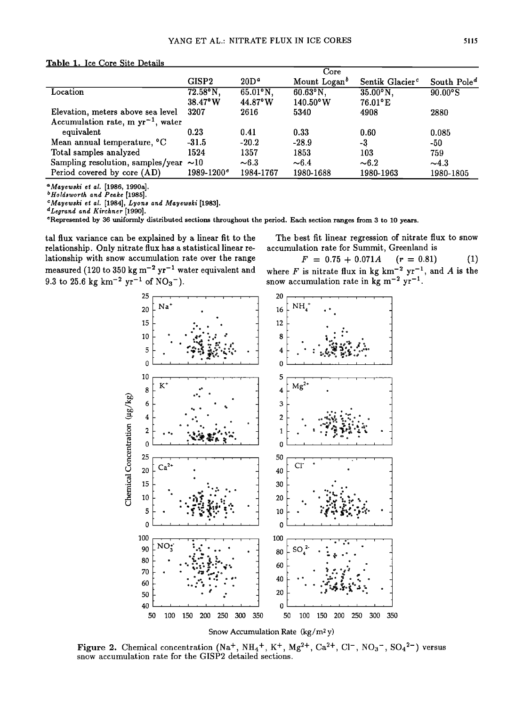#### Table 1. Ice Core Site Details

|                                        |                   |                    | Core                     |                             |                |
|----------------------------------------|-------------------|--------------------|--------------------------|-----------------------------|----------------|
|                                        | <b>GISP2</b>      | 20D <sup>a</sup>   | Mount Logan <sup>b</sup> | Sentik Glacier <sup>c</sup> | South $Pole^d$ |
| Location                               | 72.58°N,          | $65.01^{\circ}N$ , | $60.63^{\circ}N,$        | $35.00^\circ$ N,            | 90.00°S        |
|                                        | $38.47^{\circ}$ W | 44.87°W            | $140.50$ °W              | $76.01$ °E                  |                |
| Elevation, meters above sea level      | 3207              | 2616               | 5340                     | 4908                        | 2880           |
| Accumulation rate, m $yr^{-1}$ , water |                   |                    |                          |                             |                |
| equivalent                             | 0.23              | 0.41               | 0.33                     | 0.60                        | 0.085          |
| Mean annual temperature, °C            | $-31.5$           | $-20.2$            | $-28.9$                  | -3                          | $-50$          |
| Total samples analyzed                 | 1524              | 1357               | 1853                     | $103\,$                     | 759            |
| Sampling resolution, samples/year      | ~10               | $\sim 6.3$         | $\sim 6.4$               | $\sim 6.2$                  | $\sim$ 4.3     |
| Period covered by core (AD)            | $1989 - 1200^e$   | 1984-1767          | 1980-1688                | 1980-1963                   | 1980-1805      |

<sup>a</sup>Mayewski et al. [1986, 1990a].

<sup>b</sup>Holdsworth and Peake [1985].

<sup>c</sup>Mayewski et al. [1984], Lyons and Mayewski [1983].<br><sup>d</sup>Legrand and Kirchner [1990].

<sup>e</sup>Represented by 36 uniformly distributed sections throughout the period. Each section ranges from 3 to 10 years.

tal flux variance can be explained by a linear fit to the relationship. Only nitrate flux has a statistical linear relationship with snow accumulation rate over the range measured (120 to 350 kg  $m^{-2}$  yr<sup>-1</sup> water equivalent and 9.3 to 25.6 kg km<sup>-2</sup> yr<sup>-1</sup> of NO<sub>3</sub><sup>-</sup>).

25

20

15

10

5

 $\mathbf 0$ 

 $Na$ 

The best fit linear regression of nitrate flux to snow accumulation rate for Summit, Greenland is

 $F = 0.75 + 0.071A$  $(r = 0.81)$ where F is nitrate flux in kg km<sup>-2</sup> yr<sup>-1</sup>, and A is the snow accumulation rate in kg m<sup>-2</sup> yr<sup>-1</sup>. 20 NH. 16  $12$ 8 4  $\mathbf 0$ 5  $Mg^{2*}$  $\overline{4}$ 3



Snow Accumulation Rate (kg/m<sup>2</sup>y)

Figure 2. Chemical concentration (Na<sup>+</sup>, NH<sub>4</sub><sup>+</sup>, K<sup>+</sup>, Mg<sup>2+</sup>, Ca<sup>2+</sup>, Cl<sup>-</sup>, NO<sub>3</sub><sup>-</sup>, SO<sub>4</sub><sup>2-</sup>) versus snow accumulation rate for the GISP2 detailed sections.

 $(1)$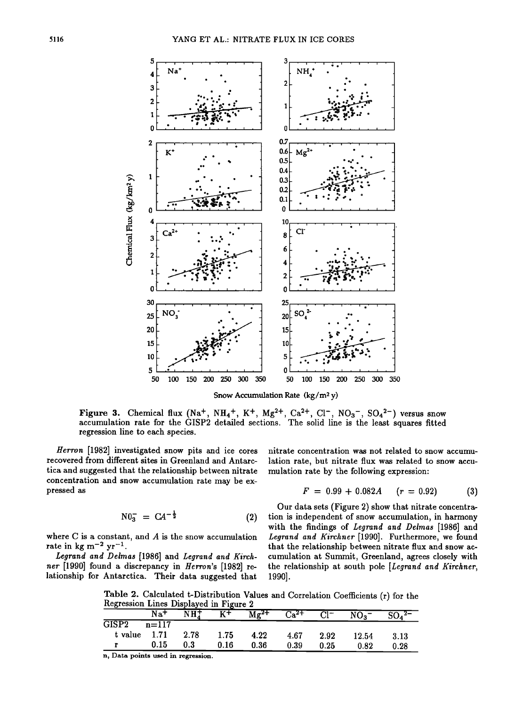

Snow Accumulation Rate  $(kg/m^2 y)$ 

Figure 3. Chemical flux (Na<sup>+</sup>, NH<sub>4</sub><sup>+</sup>, K<sup>+</sup>, Mg<sup>2+</sup>, Ca<sup>2+</sup>, Cl<sup>-</sup>, NO<sub>3</sub><sup>-</sup>, SO<sub>4</sub><sup>2-</sup>) versus snow accumulation rate for the GISP2 detailed sections. The solid line is the least squares fitted regression line to each species.

Herron [1982] investigated snow pits and ice cores recovered from different sites in Greenland and Antarctica and suggested that the relationship between nitrate concentration and snow accumulation rate may be expressed as

$$
N0_3^- = CA^{-\frac{1}{2}} \tag{2}
$$

where  $C$  is a constant, and  $A$  is the snow accumulation rate in kg m<sup>-2</sup> yr<sup>-1</sup>.

Legrand and Delmas [1986] and Legrand and Kirchner [1990] found a discrepancy in Herron's [1982] relationship for Antarctica. Their data suggested that nitrate concentration was not related to snow accumulation rate, but nitrate flux was related to snow accumulation rate by the following expression:

$$
F = 0.99 + 0.082A \quad (r = 0.92) \tag{3}
$$

Our data sets (Figure 2) show that nitrate concentration is independent of snow accumulation, in harmony with the findings of Legrand and Delmas [1986] and Legrand and Kirchner [1990]. Furthermore, we found that the relationship between nitrate flux and snow accumulation at Summit, Greenland, agrees closely with the relationship at south pole [Legrand and Kirchner, 1990].

Table 2. Calculated t-Distribution Values and Correlation Coefficients (r) for the Regression Lines Displayed in Figure 2

|                          | $\mathrm{Na}^+$ | NH <sub>4</sub> | $K^+$ | $\overline{\text{Mg}^{\text{2+}}}$ | $Ca^{2+}$ | $Cl^-$ | $NO_3^-$ | $SO_4{}^{2-}$ |
|--------------------------|-----------------|-----------------|-------|------------------------------------|-----------|--------|----------|---------------|
| $\overline{{\rm GISP2}}$ | $n = 117$       |                 |       |                                    |           |        |          |               |
| t value                  | 1.71            | 2.78            | 1.75  | 4.22                               | 4.67      | 2.92   | 12.54    | 3.13          |
|                          | 0.15            | 0.3             | 0.16  | 0.36                               | 0.39      | 0.25   | 0.82     | 0.28          |
|                          |                 |                 |       |                                    |           |        |          |               |

n, Data points used in regression.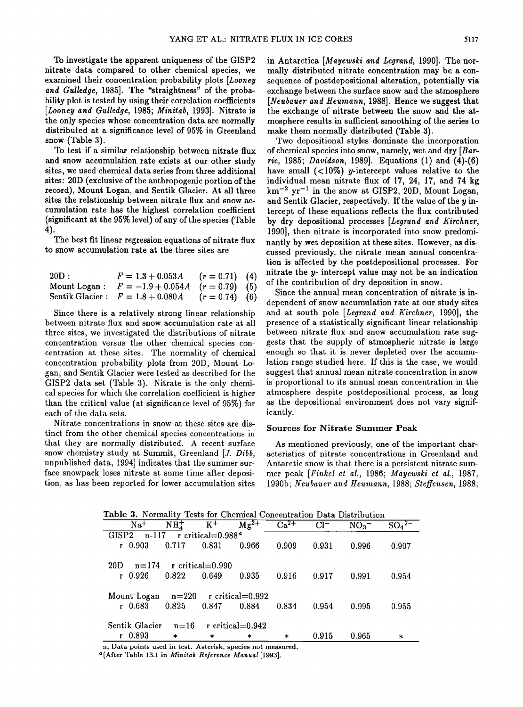**To investigate the apparent uniqueness of the GISP2 nitrate data compared to other chemical species, we examined their concentration probability plots [Looney and Gulledge, 1985]. The "straightness" of the probability plot is tested by using their correlation coefficients [Looney and Gulledge, 1985; Minitab, 1993]. Nitrate is the only species whose concentration data are normally distributed at a significance level of 95% in Greenland snow (Table 3).** 

**To test if a similar relationship between nitrate flux and snow accumulation rate exists at our other study sites, we used chemical data series from three additional sites: 20D (exclusive of the anthropogenic portion of the record), Mount Logan, and Sentik Glacier. At all three sites the relationship between nitrate flux and snow accumulation rate has the highest correlation coefficient (significant at the 95% level) of any of the species (Table 4).** 

**The best fit linear regression equations of nitrate flux to snow accumulation rate at the three sites are** 

| $20\mathrm{D}:$ | $F = 1.3 + 0.053A$ $(r = 0.71)$ (4)                  |  |
|-----------------|------------------------------------------------------|--|
|                 | Mount Logan : $F = -1.9 + 0.054A$ $(r = 0.79)$ (5)   |  |
|                 | Sentik Glacier : $F = 1.8 + 0.080A$ $(r = 0.74)$ (6) |  |

**Since there is a relatively strong linear relationship between nitrate flux and snow accumulation rate at all three sites, we investigated the distributions of nitrate concentration versus the other chemical species concentration at these sites. The normality of chemical concentration probability plots from 20D, Mount Logan, and Sentik Glacier were tested as described for the GISP2 data set (Table 3). Nitrate is the only chemical species for which the correlation coefficient is higher**  than the critical value (at significance level of 95%) for **each of the data sets.** 

**Nitrate concentrations in snow at these sites are distinct from the other chemical species concentrations in that they are normally distributed. A recent surface snow chemistry study at Summit, Greenland [J. Dibb, unpublished data, 1994] indicates that the summer surface snowpack loses nitrate at some time after deposition, as has been reported for lower accumulation sites**  **in Antarctica [Mayewski and Legrand, 1990]. The normally distributed nitrate concentration may be a consequence of postdepositional alteration, potentially via exchange between the surface snow and the atmosphere [Neubauer and Heumann, 1988]. Hence we suggest that the exchange of nitrate between the snow and the atmosphere results in sufficient smoothing of the series to make them normally distributed (Table 3).** 

**Two depositional styles dominate the incorporation of chemical species into snow, namely, wet and dry [Bar**rie, 1985; *Davidson*, 1989]. Equations (1) and (4)-(6) have small  $($ <10%) *y*-intercept values relative to the **individual mean nitrate flux of 17, 24, 17, and 74 kg km -2 yr -1 in the snow at GISP2, 20D, Mount Logan, and Sentik Glacier, respectively. If the value of the y intercept of these equations reflects the flux contributed by dry depositional processes [Legrand and Kirchner, 1990], then nitrate is incorporated into snow predominantly by wet deposition at these sites. However, as discussed previously, the nitrate mean annual concentration is affected by the postdepositional processes. For nitrate the y- intercept value may not be an indication of the contribution of dry deposition in snow.** 

**Since the annual mean concentration of nitrate is independent of snow accumulation rate at our study sites and at south pole [Legrand and Kirchner, 1990], the presence of a statistically significant linear relationship between nitrate flux and snow accumulation rate suggests that the supply of atmospheric nitrate is large enough so that it is never depleted over the accumulation range studied here. If this is the case, we would suggest that annual mean nitrate concentration in snow is proportional to its annual mean concentration in the atmosphere despite postdepositional process, as long**  as the depositional environment does not vary signif**icantly.** 

#### **Sources for Nitrate Summer Peak**

**As mentioned previously, one of the important characteristics of nitrate concentrations in Greenland and Antarctic snow is that there is a persistent nitrate sum**mer peak [Finkel et al., 1986; Mayewski et al., 1987, **1990b; Neubauer and Heumann, 1988; \$teffensen, 1988;** 

|                                                         | Lable 5. Normanty Tests for Chemical Concentration Data Distribution |                  |        |           |           |        |                 |          |  |
|---------------------------------------------------------|----------------------------------------------------------------------|------------------|--------|-----------|-----------|--------|-----------------|----------|--|
|                                                         | Na <sup>+</sup>                                                      | NH <sub>4</sub>  | $K^+$  | $Mg^{2+}$ | $Ca^{2+}$ | $Cl^-$ | NO <sub>3</sub> | $SO_4^2$ |  |
| $n-117$ r critical=0.988 <sup>a</sup><br>GISP2          |                                                                      |                  |        |           |           |        |                 |          |  |
|                                                         | $r$ 0.903                                                            | 0.717            | 0.831  | 0.966     | 0.909     | 0.931  | 0.996           | 0.907    |  |
|                                                         |                                                                      |                  |        |           |           |        |                 |          |  |
| 20D                                                     | $n = 174$                                                            | r critical=0.990 |        |           |           |        |                 |          |  |
|                                                         | $r$ 0.926                                                            | 0.822            | 0.649  | 0.935     | 0.916     | 0.917  | 0.991           | 0.954    |  |
|                                                         |                                                                      |                  |        |           |           |        |                 |          |  |
| Mount Logan $n=220$ r critical=0.992                    |                                                                      |                  |        |           |           |        |                 |          |  |
|                                                         | $r$ 0.683                                                            | 0.825            | 0.847  | 0.884     | 0.834     | 0.954  | 0.995           | 0.955    |  |
|                                                         |                                                                      |                  |        |           |           |        |                 |          |  |
| Sentik Glacier<br>$n=16$<br>r critical= $0.942$         |                                                                      |                  |        |           |           |        |                 |          |  |
|                                                         | $r$ 0.893                                                            | $\ast$           | $\ast$ | $\ast$    | $\ast$    | 0.915  | 0.965           | $\ast$   |  |
| Data points used in test. Asterisk species not measured |                                                                      |                  |        |           |           |        |                 |          |  |

**Table 3. Normality Tests for Chemical Concentration Data Distribution** 

**n, Data points used in test. Asterisk, species not measured.** 

**a(After Table 13.1 in Minitab Reference Manual [1993].**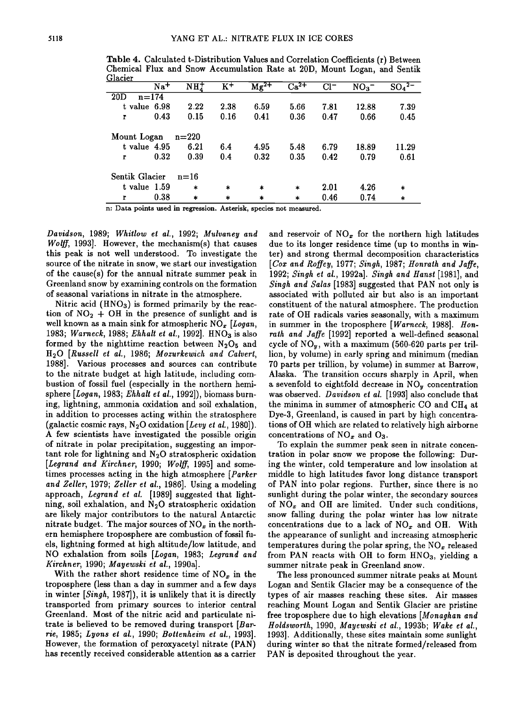| $\overline{Na^{+}}$    | NH <sub>4</sub> | $\overline{\text{K}^+}$ | $\text{Mg}^{2+}$ | $Ca^{2+}$ | $Cl^-$ | NO <sub>3</sub> | SO <sub>4</sub> <sup>2–</sup> |  |
|------------------------|-----------------|-------------------------|------------------|-----------|--------|-----------------|-------------------------------|--|
| $n = 174$<br>20D       |                 |                         |                  |           |        |                 |                               |  |
| t value 6.98           | 2.22            | 2.38                    | 6.59             | 5.66      | 7.81   | 12.88           | 7.39                          |  |
| 0.43<br>$\mathbf{r}$   | 0.15            | 0.16                    | 0.41             | 0.36      | 0.47   | 0.66            | 0.45                          |  |
| Mount Logan<br>$n=220$ |                 |                         |                  |           |        |                 |                               |  |
| $t$ value $4.95$       | 6.21            | 6.4                     | 4.95             | 5.48      | 6.79   | 18.89           | 11.29                         |  |
| 0.32<br>r              | 0.39            | 0.4                     | 0.32             | 0.35      | 0.42   | 0.79            | 0.61                          |  |
| Sentik Glacier         | $n=16$          |                         |                  |           |        |                 |                               |  |
| $t$ value $1.59$       | $\ast$          | $\ast$                  | $\ast$           | $\ast$    | 2.01   | 4.26            | $\ast$                        |  |
| 0.38<br>г              | $\ast$          | $\ast$                  | *                | $\ast$    | 0.46   | 0.74            | $\ast$                        |  |

**Table 4. Calculated t-Distribution Values and Correlation Coefficients (r) Between Chemical Flux and Snow Accumulation Rate at 20D, Mount Logan, and Sentik Glacier** 

**n: Data points used in regression. Asterisk, species not measured.** 

**Davidson, 1989; Whirlow et al., 1992; Mulvaney and Wolff, 1993]. However, the mechanism(s) that causes this peak is not well understood. To investigate the source of the nitrate in snow, we start our investigation of the cause(s) for the annual nitrate summer peak in Greenland snow by examining controls on the formation of seasonal variations in nitrate in the atmosphere.** 

**Nitric acid (HNO3) is formed primarily by the reac**tion of  $NO<sub>2</sub> + OH$  in the presence of sunlight and is well known as a main sink for atmospheric NO<sub>x</sub> [Logan, 1983; Warneck, 1988; Ehhalt et al., 1992]. HNO<sub>3</sub> is also formed by the nighttime reaction between  $N_2O_5$  and **H•O [Russell e! al., 1986; Mozurkewich and Calvert, 1988]. Various processes and sources can contribute to the nitrate budget at high latitude, including combustion of fossil fuel (especially in the northern hemi**sphere [Logan, 1983; Ehhalt et al., 1992]), biomass burn**ing, lightning, ammonia oxidation and soil exhalation, in addition to processes acting within the stratosphere**  (galactic cosmic rays,  $N_2O$  oxidation [Levy et al., 1980]). **A few scientists have investigated the possible origin of nitrate in polar precipitation, suggesting an important role for lightning and N20 stratospheric oxidation [Legrand and Kirchner, 1990; Wolff, 1995] and sometimes processes acting in the high atmosphere [Parker and Zeller, 1979; Zeller et al., 1986]. Using a modeling approach, Legrand et al. [1989] suggested that light**ning, soil exhalation, and N<sub>2</sub>O stratospheric oxidation **are likely major contributors to the natural Antarctic**  nitrate budget. The major sources of NO<sub>x</sub> in the north**ern hemisphere troposphere are combustion of fossil fuels, lightning formed at high altitude/low latitude, and NO exhalation from soils [Logan, 1983; Legrand and**  Kirchner, 1990; Mayewski et al., 1990a].

With the rather short residence time of  $NO<sub>x</sub>$  in the **troposphere (less than a day in summer and a few days in winter [Singh, 1987]), it is unlikely that it is directly transported from primary sources to interior central Greenland. Most of the nitric acid and particulate nitrate is believed to be removed during transport [Bartie, 1985; Lyons et al., 1990; Bottenheim et al., 1993]. However, the formation of peroxyacetyl nitrate (PAN) has recently received considerable attention as a carrier**  and reservoir of  $NO<sub>x</sub>$  for the northern high latitudes **due to its longer residence time (up to months in winter) and strong thermal decomposition characteristics [Cox and Roffey, 1977; Singh, 1987; Honrath and Jaffe, 1992; Singh et al., 1992a]. Singh and Hanst [1981], and Singh and Salas [1983] suggested that PAN not only is associated with polluted air but also is an important constituent of the natural atmosphere. The production rate of OH radicals varies seasonally, with a maximum in summer in the troposphere [Warneck, 1988]. Honrath and Jaffe [1992] reported a well-defined seasonal cycle of NOy, with a maximum (560-620 parts per trillion, by volume) in early spring and minimum (median 70 parts per trillion, by volume) in summer at Barrow, Alaska. The transition occurs sharply in April, when a sevenfold to eightfold decrease in NOy concentration was observed. Davidson et al. [1993] also conclude that**  the minima in summer of atmospheric CO and CH<sub>4</sub> at **Dye-3, Greenland, is caused in part by high concentrations of OH which are related to relatively high airborne**  concentrations of  $NO<sub>x</sub>$  and  $O<sub>3</sub>$ .

**To explain the summer peak seen in nitrate concentration in polar snow we propose the following: During the winter, cold temperature and low insolation at middle to high latitudes favor long distance transport of PAN into polar regions. Further, since there is no sunlight during the polar winter, the secondary sources of NO• and OH are limited. Under such conditions, snow falling during the polar winter has low nitrate**  concentrations due to a lack of  $NO_x$  and  $OH$ . With **the appearance of sunlight and increasing atmospheric**  temperatures during the polar spring, the NO<sub>x</sub> released **from PAN reacts with OH to form HNO3, yielding a summer nitrate peak in Greenland snow.** 

**The less pronounced summer nitrate peaks at Mount Logan and Sentik Glacier may be a consequence of the types of air masses reaching these sites. Air masses reaching Mount Logan and Sentik Glacier are pristine free troposphere due to high elevations [Monaghan and Holdsworth, 1990, Mayewski et al., 1993b; Wake et al., 1993]. Additionally, these sites maintain some sunlight during winter so that the nitrate formed/released from PAN is deposited throughout the year.**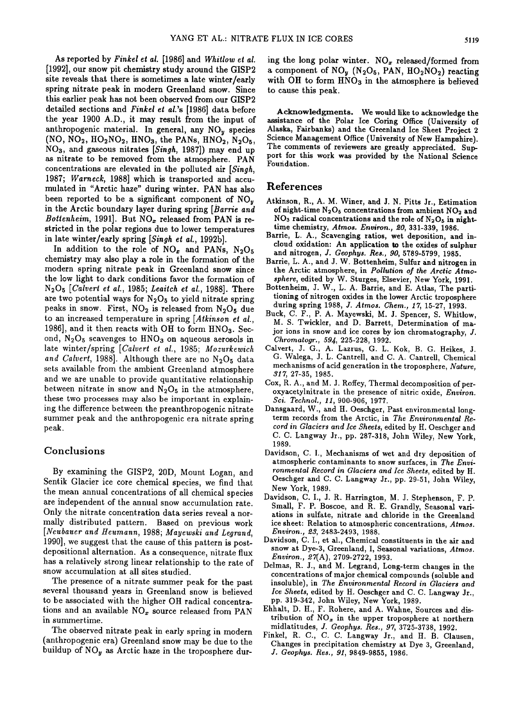**As reported by Finkel et al. [1986] and Whirlow et al. [1992], our snow pit chemistry study around the GISP2 site reveals that there is sometimes a late winter/early spring nitrate peak in modern Greenland snow. Since this earlier peak has not been observed from our GISP2 detailed sections and Finkel et al.'s [1986] data before the year 1900 A.D., it may result from the input of anthropogenic material. In general, any NOy species**   $(NO, NO<sub>2</sub>, HO<sub>2</sub>NO<sub>2</sub>, HNO<sub>3</sub>, the PANS, HNO<sub>2</sub>, N<sub>2</sub>O<sub>5</sub>,$ **NOs, and gaseous nitrates [Singh, 1987]) may end up as nitrate to be removed from the atmosphere. PAN**  concentrations are elevated in the polluted air [Singh, **1987; Warneck, 1988] which is transported and accumulated in "Arctic haze" during winter. PAN has also been reported to be a significant component of NOy in the Arctic boundary layer during spring [Bartie and**  Bottenheim, 1991]. But NO<sub>x</sub> released from PAN is re**stricted in the polar regions due to lower temperatures in late winter/early spring [Singh et al., 1992b].** 

In addition to the role of  $NO_x$  and PANs,  $N_2O_5$ **chemistry may also play a role in the formation of the modern spring nitrate peak in Greenland snow since the low light to dark conditions favor the formation of N205 [Calvert et al., 1985; Leaitch et al., 1988]. There**  are two potential ways for N<sub>2</sub>O<sub>5</sub> to yield nitrate spring peaks in snow. First, NO<sub>2</sub> is released from N<sub>2</sub>O<sub>5</sub> due **to an increased temperature in spring [Atkinson et al.,**  1986], and it then reacts with OH to form HNO<sub>3</sub>. Second, N<sub>2</sub>O<sub>5</sub> scavenges to HNO<sub>3</sub> on aqueous aerosols in **late winter/spring [Calvert et al., 1985; Mozurkewich**  and Calvert, 1988]. Although there are no N<sub>2</sub>O<sub>5</sub> data **sets available from the ambient Greenland atmosphere and we are unable to provide quantitative relationship**  between nitrate in snow and  $N_2O_5$  in the atmosphere, **these two processes may also be important in explaining the difference between the preanthropogenic nitrate summer peak and the anthropogenic era nitrate spring peak.** 

## **Conclusions**

**By examining the GISP2, 20D, Mount Logan, and Sentik Glacier ice core chemical species, we find that the mean annual concentrations of all chemical species are independent of the annual snow accumulation rate. Only the nitrate concentration data series reveal a normally distributed pattern. Based on previous work [Neubauer and Henmann, 1988; Maycwski and Legrand, 1990], we suggest that the cause of this pattern is postdepositional alternation. As a consequence, nitrate flux has a relatively strong linear relationship to the rate of snow accumulation at all sites studied.** 

**The presence of a nitrate summer peak for the past several thousand years in Greenland snow is believed to be associated with the higher OH radical concentra**tions and an available NO<sub>x</sub> source released from PAN **in summertime.** 

**The observed nitrate peak in early spring in modern (anthropogenic era) Greenland snow may be due to the**  buildup of NO<sub>y</sub> as Arctic haze in the troposphere during the long polar winter. NO<sub>x</sub> released/formed from **a component of NO• (N2Os, PAN, HO2NO2) reacting with OH to form HNOs in the atmosphere is believed to cause this peak.** 

Acknowledgments. We would like to acknowledge the **assistance of the Polar Ice Coring Office (University of Alaska, Fairbanks) and the Greenland Ice Sheet Project 2 Science Management Office (University of New Hampshire).**  The comments of reviewers are greatly appreciated. Sup**port for this work was provided by the National Science Foundation.** 

## **References**

- **Atkinson, R., A.M. Winer, and J. N. Pitts Jr., Estimation**  of night-time N<sub>2</sub>O<sub>5</sub> concentrations from ambient NO<sub>2</sub> and **NOs radical concentrations and the role of N2Os in nighttime chemistry, Atmos. Environ., œ0, 331-339, 1986.**
- Barrie, L. A., Scavenging ratios, wet deposition, and in**cloud oxidation: An application to the oxides of sulphur and nitrogen, J. Geophys. Res., 90, 5789-5799, 1985.**
- **Barrie, L. A., and J. W. Bottenheim, Sulfur and nitrogen in the Arctic atmosphere, in Pollution of the Arctic Atmosphere, edited by W. Sturges, Elsevier, New York, 1991.**
- **Bottenheim, J. W., L. A. Barrie, and E. Atlas, The partitioning of nitrogen oxides in the lower Arctic troposphere during spring 1988, J. Atmos. Chem., 17, 15-27, 1993.**
- **Buck, C. F., P. A. Mayewski, M. J. Spencer, S. Whitlow, M. S. Twickler, and D. Barrett, Determination of major ions in snow and ice cores by ion chromatography, J.** Chromatogr., 594, 225-228, 1992.
- **Calvert, J. G., A. Lazrus, G. L. Kok, B. G. Heikes, J. G. Walega, J. L. Cantrell, and C. A. Cantrell, Chemical mechanisms of acid generation in the troposphere, Nature, 317, 27-35, 1985.**
- **Cox, R. A., and M. J. Roffey, Thermal decomposition of peroxyacetylnitrate in the presence of nitric oxide, Environ. Sci. Technol., 11, 900-906, 1977.**
- **Dansgaard, W., and H. Oeschger, Past environmental longterm records from the Arctic, in The Environmental Record in Glaciers and Ice Sheets, edited by H. Oeschger and**  C. C. Langway Jr., pp. 287-318, John Wiley, New York, **1989.**
- **Davidson, C. I., Mechanisms of wet and dry deposition of atmospheric contaminants to snow surfaces, in The Environmental Record in Glaciers and Ice Sheets, edited by H. Oeschger and C. C. Langway Jr., pp. 29-51, John Wiley, New York, 1989.**
- **Davidson, C. I., J. R. Harrington, M. J. Stephenson, F. P. Small, F. P. Boscoe, and R. E. Grandly, Seasonal variations in sulfate, nitrate and chloride in the Greenland ice sheet: Relation to atmospheric concentrations, Atmos. Environ., 23, 2483-2493, 1988.**
- **Davidson, C. I., et al., Chemical constituents in the air and snow at Dye-3, Greenland, I, Seasonal variations, Atmos. Environ., 27(A), 2709-2722, 1993.**
- **Delmas, R. J., and M. Legrand, Long-term changes in the**  concentrations of major chemical compounds (soluble and **insoluble), in The Environmental Record in Glaciers and Ice Sheets, edited by H. Oeschger and C. C. Langway Jr., pp. 319-342, John Wiley, New York, 1989.**
- **Ehhalt, D. H., F. Rohere, and A. Wahne, Sources and dis**tribution of  $NO<sub>x</sub>$  in the upper troposphere at northern **midlatitudes, J. Geophys. Res., 97, 3725-3738, 1992.**
- **Finkel, R. C., C. C. Langway Jr., and H. B. Clansen, Changes in precipitation chemistry at Dye 3, Greenland, J. Geophys. Res., 91, 9849-9855, 1986.**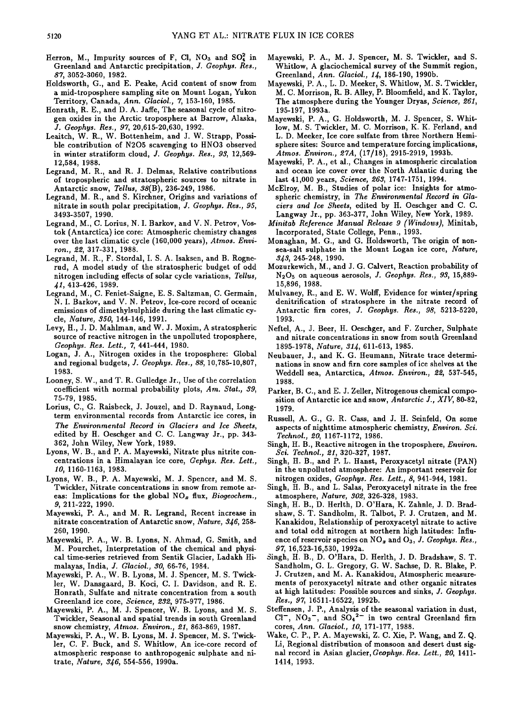- Herron, M., Impurity sources of F, Cl, NO<sub>3</sub> and SO<sub>4</sub><sup>2</sup> in **Greenland and Antarctic precipitation, J. Geophys. Res., 87, 3052-3060, 1982.**
- **Holdsworth, G., and E. Peake, Acid content of snow from a mid-troposphere sampling site on Mount Logan, Yukon Territory, Canada, Ann. Glaciol., 7, 153-160, 1985.**
- **Honrath, R. E., and D. A. Jaffe, The seasonal cycle of nitrogen oxides in the Arctic troposphere at Barrow, Alaska, J. Geophys. Res., 97, 20,615-20,630, 1992.**
- **Leaitch, W. R., W. Bottenheim, and J. W. Strapp, Possible contribution of N205 scavenging to HNO3 observed in winter stratiform cloud, J. Geophys. Res., 93, 12,569- 12,584, 1988.**
- **Legrand, M. R., and R. J. Delmas, Relative contributions of tropospheric and stratospheric sources to nitrate in Antarctic snow, Tellus, 38(B), 236-249, 1986.**
- **Legrand, M. R., and S. Kirchner, Origins and variations of nitrate in south polar precipitation, J. Geophys. Res., 95, 3493-3507, 1990.**
- **Legrand, M., C. Lorius, N. I. Barkov, and V. N. Petroy, Vos**tok (Antarctica) ice core: Atmospheric chemistry changes **over the last climatic cycle (160,000 years), Atmos. Environ., 22, 317-331, 1988.**
- **Legrand, M. R., F. Stordal, I. S. A. Isaksen, and B. Rognerud, A model study of the stratospheric budget of odd nitrogen including effects of solar cycle variations, Tellus, dl, 413-426, 1989.**
- **Legrand, M., C. Feniet-Saigne, E. S. Saltzman, C. Germain, N. I. Barkov, and V. N. Petroy, Ice-core record of oceanic emissions of dimethylsulphide during the last climatic cycle, Nature, 350, 144-146, 1991.**
- **Levy, H., J. D. Mahlman, and W. J. Moxim, A stratospheric source of reactive nitrogen in the unpolluted troposphere, Geophys. Res. Lett., 7, 441-444, 1980.**
- **Logan, J. A., Nitrogen oxides in the troposphere: Global and regional budgets, J. Geophys. Res., 88, 10,785-10,807, 1983.**
- **Looney, S. W., and T. R. Gulledge Jr., Use of the correlation coefficient with normal probability plots, Am. Stat., 39, 75-79, 1985.**
- **Lorius, C., G. Raisbeck, J. Jouzel, and D. Raynaud, Longterm environmental records from Antarctic ice cores, in The Environmental Record in Glaciers and Ice Sheets, edited by H. Oeschger and C. C. Langway Jr., pp. 343- 362, John Wiley, New York, 1989.**
- **Lyons, W. B., and P. A. Mayewski, Nitrate plus nitrite concentrations in a Himalayan ice core, Gephys. Res. Lett., 10, 1160-1163, 1983.**
- **Lyons, W. B., P. A. Mayewski, M. J. Spencer, and M. S. Twickler, Nitrate concentrations in snow from remote ar**eas: Implications for the global NO<sub>x</sub> flux, *Biogeochem.*, **9, 211-222, 1990.**
- **Mayewski, P. A., and M. R. Legrand, Recent increase in nitrate concentration of Antarctic snow, Nature, 3•6, 258- 260, 1990.**
- **Mayewski, P. A., W. B. Lyons, N. Ahmad, G. Smith, and M. Pourchet, Interpretation of the chemical and physical time-series retrieved from Sentik Glacier, Ladakh Himalayas, India, J. Glaciol., 30, 66-76, 1984.**
- **Mayewski, P. A., W. B. Lyons, M. J. Spencer, M. S. Twicklet, W. Dansgaard, B. Koci, C. I. Davidson, and R. E. Honrath, Sulfate and nitrate concentration from a south Greenland ice core, Science, 232, 975-977, 1986.**
- **Mayewski, P. A., M. J. Spencer, W. B. Lyons, and M. S.**  Twickler, Seasonal and spatial trends in south Greenland **snow chemistry, Atmos. Environ., 21, 863-869, 1987.**
- **Mayewski, P. A., W. B. Lyons, M. J. Spencer, M. S. Twicklet, C. F. Buck, and S. Whitlow, An ice-core record of atmospheric response to anthropogenic sulphate and ni**trate, *Nature, 346*, 554-556, 1990a.
- **Mayewski, P. A., M. J. Spencer, M. S. Twickler, and S. Whitlow, A glaciochemical survey of the Summit region,**  Greenland, *Ann. Glaciol.*, 14, 186-190, 1990b.
- **Mayewski, P. A., L. D. Meeker, S. Whitlow, M. S. Twickler, M. C. Morrison, R. B. Alley, P. Bloomfield, and K. Taylor,**  The atmosphere during the Younger Dryas, Science, 261, **195-197, 1993a.**
- **Mayewski, P. A., G. Holdsworth, M. J. Spencer, S. Whit**low, M. S. Twickler, M. C. Morrison, K. K. Ferland, and **L. D. Meeker, Ice core sulfate from three Northern Hemisphere sites: Source and temperature forcing implications, Atmos. Environ., œ7A, (17/18), 2915-2919, 1993b.**
- **Mayewski, P. A., et al., Changes in atmospheric circulation and ocean ice cover over the North Atlantic during the last 41,000 years, Science, œ63, 1747-1751, 1994.**
- **McElroy, M. B., Studies of polar ice: Insights for atmospheric chemistry, in The Environmental Record in Glaciers and Ice Sheets, edited by H. Oeschger and C. C. Langway Jr., pp. 363-377, John Wiley, New York, 1989.**
- **Minitab Reference Manual Release 9 (Windows), Minitab, Incorporated, State College, Penn., 1993.**
- **Monaghan, M. G., and G. Holdsworth, The origin of nonsea-salt sulphate in the Mount Logan ice core, Nature, 3•3, 245-248, 1990.**
- **Mozurkewich, M., and J. G. Calvert, Reaction probability of N2Os on aqueous aerosols, J. Geophys. Res., 93, 15,889- 15,896, 1988.**
- **Mulvaney, R., and E. W. Wolff, Evidence for winter/spring denitrification of stratosphere in the nitrate record of Antarctic firn cores, J. Geophys. Res., 98, 5213-5220, 1993.**
- **Neftel, A., J. Beer, H. Oeschger, and F. Zurcher, Sulphate and nitrate concentrations in snow from south Greenland 1895-1978, Nature, 3L{, 611-613, 1985.**
- **Neubauer, J., and K. G. Heumann, Nitrate trace determinations in snow and firn core samples of ice shelves at the**  Weddell sea, Antarctica, Atmos. Environ., 22, 537-545, **1988.**
- **Parker, B.C., and E. J. Zeller, Nitrogenous chemical composition of Antarctic ice and snow, Antarctic J., XIV, 80-82, 1979.**
- **Russell, A. G., G. R. Cass, and J. H. Seinfeld, On some aspects of nighttime atmospheric chemistry, Environ. Sci. Technol., œ0, 1167-1172, 1986.**
- **Singh, H. B., Reactive nitrogen in the troposphere, Environ. Sci. Technol., œ1, 320-327, 1987.**
- **Singh, H. B., and P. L. Hanst, Peroxyacetyl nitrate (PAN) in the unpolluted atmosphere: An important reservoir for nitrogen oxides, Geophys. Res. Lett., 8, 941-944, 1981.**
- **Singh, H. B., and L. Salas, Peroxyacetyl nitrate in the free atmosphere, Nature, 30œ, 326-328, 1983.**
- **Singh, H. B., D. Herlth, D. O'Hara, K. Zahnle, J. D. Bradshaw, S. T. Sandholm, R. Talbot, P. J. Crutzen, and M. Kanakidou, Relationship of peroxyacetyl nitrate to active and total odd nitrogen at northern high latitudes: Influ**ence of reservoir species on NO<sub>x</sub> and O<sub>3</sub>, J. Geophys. Res., **97, 16,523-16,530, 1992a.**
- **Singh, H. B., D. O'Hara, D. Herlth, J. D. Bradshaw, S. T. Sandholm, G. L. Gregory, G. W. Sachse, D. R. Blake, P. J. Crutzen, and M. A. Kanakidou, Atmospheric measurements of peroxyacetyl nitrate and other organic nitrates at high latitudes: Possible sources and sinks, J. Geophys. Res., 97, 16511-16522, 1992b.**
- **Steffensen, J.P., Analysis of the seasonal variation in dust,**  Cl<sup>-</sup>, NO<sub>3</sub><sup>-</sup>, and SO<sub>4</sub><sup>2-</sup> in two central Greenland firn **cores, Ann. Glaciol., 10, 171-177, 1988.**
- **Wake, C. P., P. A. Mayewski, Z. C. Xie, P. Wang, and Z. Q. Li, Regional distribution of monsoon and desert dust signal record in Asian glacier, Geophys. Res. Lett., 20, 1411- 1414, 1993.**